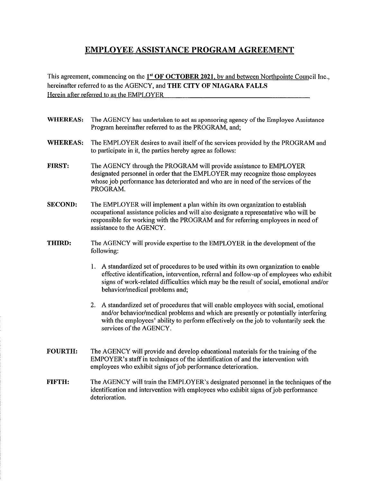## EMPLOYEE ASSISTANCE PROGRAM AGREEMENT

This agreement, commencing on the  $1<sup>st</sup> OF OCTOBER 2021$ , by and between Northpointe Council Inc., hereinafter referred to as the AGENCY, and THE CITY OF NIAGARA FALLS Herein after referred to as the EMPLOYER

- WHEREAS: The AGENCY has undertaken to act as sponsoring agency of the Employee Assistance Program hereinafter referred to as the PROGRAM, and;
- WHEREAS: The EMPLOYER desires to avail itself of the services provided by the PROGRAM and to participate in it, the parties hereby agree as follows:
- FIRST: The AGENCY through the PROGRAM will provide assistance to EMPLOYER designated personnel in order that the EMPLOYER may recognize those employees whose job performance has deteriorated and who are in need of the services of the PROGRAM.
- SECOND: The EMPLOYER will implement a plan within its own organization to establish occupational assistance policies and will also designate a representative who will be responsible for working with the PROGRAM and for referring employees in need of assistance to the AGENCY.
- THIRD: The AGENCY will provide expertise to the EMPLOYER in the development of the following:
	- 1. A standardized set of procedures to be used within its own organization to enable effective identification, intervention, referral and follow-up of employees who exhibit signs of work-related difficulties which may be the result of social, emotional and/or behavior/medical problems and;
	- 2. A standardized set of procedures that will enable employees with social, emotional and/or behavior/medical problems and which are presently or potentially interfering with the employees' ability to perform effectively on the job to voluntarily seek the services of the AGENCY.
- FOURTH: The AGENCY wilt provide and develop educational materials for the training of the EMPOYER's staff in techniques of the identification of and the intervention with employees who exhibit signs of job performance deterioration.
- FIFTH: The AGENCY will train the EMPLOYER'S designated personnel in the techniques of the identification and intervention with employees who exhibit signs of job performance deterioration.